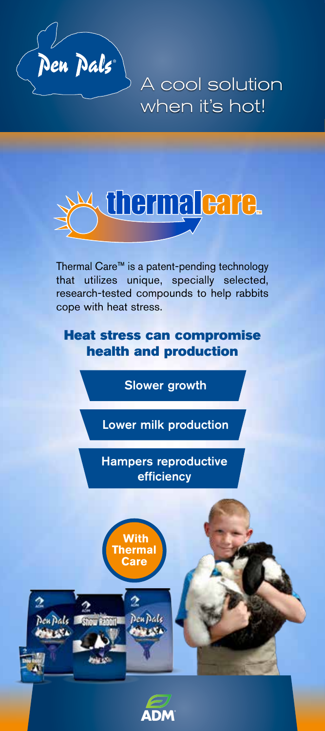

A cool solution when it's hot!



Thermal Care™ is a patent-pending technology that utilizes unique, specially selected, research-tested compounds to help rabbits cope with heat stress.

## Heat stress can compromise health and production

Slower growth

Lower milk production

Hampers reproductive efficiency